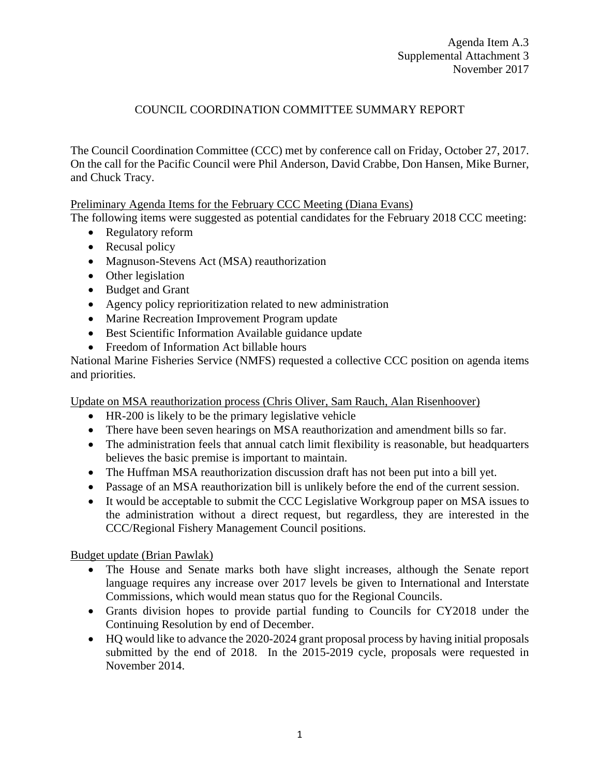## COUNCIL COORDINATION COMMITTEE SUMMARY REPORT

The Council Coordination Committee (CCC) met by conference call on Friday, October 27, 2017. On the call for the Pacific Council were Phil Anderson, David Crabbe, Don Hansen, Mike Burner, and Chuck Tracy.

Preliminary Agenda Items for the February CCC Meeting (Diana Evans)

The following items were suggested as potential candidates for the February 2018 CCC meeting:

- Regulatory reform
- Recusal policy
- Magnuson-Stevens Act (MSA) reauthorization
- Other legislation
- Budget and Grant
- Agency policy reprioritization related to new administration
- Marine Recreation Improvement Program update
- Best Scientific Information Available guidance update
- Freedom of Information Act billable hours

National Marine Fisheries Service (NMFS) requested a collective CCC position on agenda items and priorities.

Update on MSA reauthorization process (Chris Oliver, Sam Rauch, Alan Risenhoover)

- HR-200 is likely to be the primary legislative vehicle
- There have been seven hearings on MSA reauthorization and amendment bills so far.
- The administration feels that annual catch limit flexibility is reasonable, but headquarters believes the basic premise is important to maintain.
- The Huffman MSA reauthorization discussion draft has not been put into a bill yet.
- Passage of an MSA reauthorization bill is unlikely before the end of the current session.
- It would be acceptable to submit the CCC Legislative Workgroup paper on MSA issues to the administration without a direct request, but regardless, they are interested in the CCC/Regional Fishery Management Council positions.

Budget update (Brian Pawlak)

- The House and Senate marks both have slight increases, although the Senate report language requires any increase over 2017 levels be given to International and Interstate Commissions, which would mean status quo for the Regional Councils.
- Grants division hopes to provide partial funding to Councils for CY2018 under the Continuing Resolution by end of December.
- HQ would like to advance the 2020-2024 grant proposal process by having initial proposals submitted by the end of 2018. In the 2015-2019 cycle, proposals were requested in November 2014.